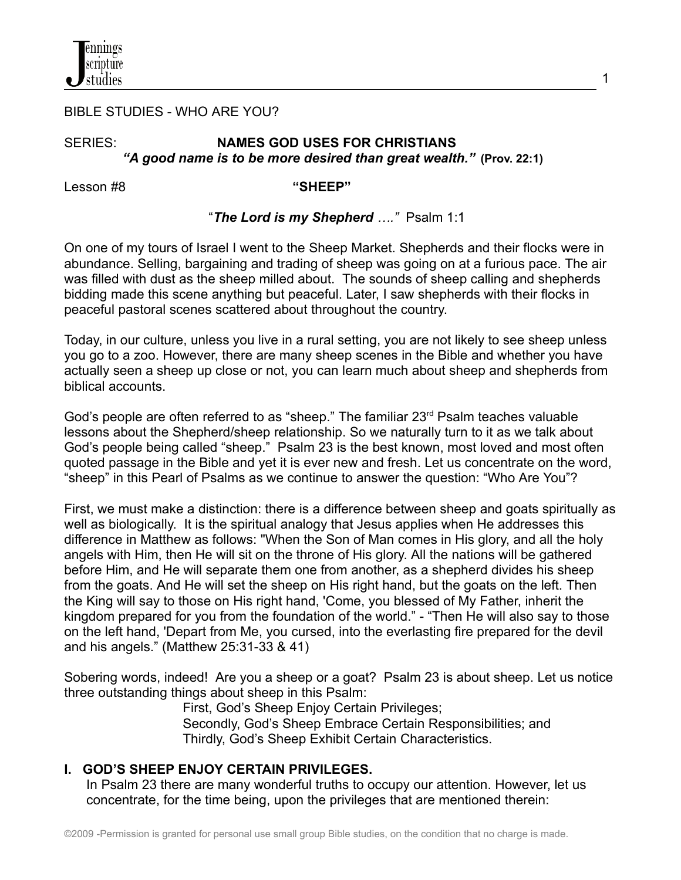

#### BIBLE STUDIES - WHO ARE YOU?

## SERIES: **NAMES GOD USES FOR CHRISTIANS** *"A good name is to be more desired than great wealth."* **(Prov. 22:1)**

Lesson #8 **"SHEEP"**

#### "*The Lord is my Shepherd …."* Psalm 1:1

On one of my tours of Israel I went to the Sheep Market. Shepherds and their flocks were in abundance. Selling, bargaining and trading of sheep was going on at a furious pace. The air was filled with dust as the sheep milled about. The sounds of sheep calling and shepherds bidding made this scene anything but peaceful. Later, I saw shepherds with their flocks in peaceful pastoral scenes scattered about throughout the country.

Today, in our culture, unless you live in a rural setting, you are not likely to see sheep unless you go to a zoo. However, there are many sheep scenes in the Bible and whether you have actually seen a sheep up close or not, you can learn much about sheep and shepherds from biblical accounts.

God's people are often referred to as "sheep." The familiar 23<sup>rd</sup> Psalm teaches valuable lessons about the Shepherd/sheep relationship. So we naturally turn to it as we talk about God's people being called "sheep." Psalm 23 is the best known, most loved and most often quoted passage in the Bible and yet it is ever new and fresh. Let us concentrate on the word, "sheep" in this Pearl of Psalms as we continue to answer the question: "Who Are You"?

First, we must make a distinction: there is a difference between sheep and goats spiritually as well as biologically. It is the spiritual analogy that Jesus applies when He addresses this difference in Matthew as follows: "When the Son of Man comes in His glory, and all the holy angels with Him, then He will sit on the throne of His glory. All the nations will be gathered before Him, and He will separate them one from another, as a shepherd divides his sheep from the goats. And He will set the sheep on His right hand, but the goats on the left. Then the King will say to those on His right hand, 'Come, you blessed of My Father, inherit the kingdom prepared for you from the foundation of the world." - "Then He will also say to those on the left hand, 'Depart from Me, you cursed, into the everlasting fire prepared for the devil and his angels." (Matthew 25:31-33 & 41)

Sobering words, indeed! Are you a sheep or a goat? Psalm 23 is about sheep. Let us notice three outstanding things about sheep in this Psalm:

> First, God's Sheep Enjoy Certain Privileges; Secondly, God's Sheep Embrace Certain Responsibilities; and Thirdly, God's Sheep Exhibit Certain Characteristics.

#### **I. GOD'S SHEEP ENJOY CERTAIN PRIVILEGES.**

In Psalm 23 there are many wonderful truths to occupy our attention. However, let us concentrate, for the time being, upon the privileges that are mentioned therein: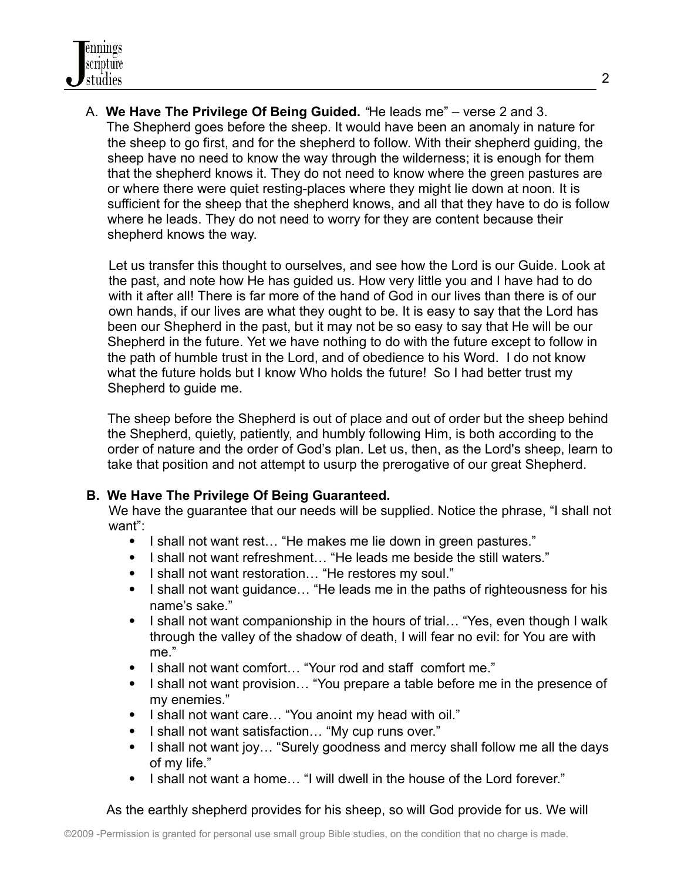A. **We Have The Privilege Of Being Guided.** *"*He leads me" – verse 2 and 3. The Shepherd goes before the sheep. It would have been an anomaly in nature for the sheep to go first, and for the shepherd to follow. With their shepherd guiding, the sheep have no need to know the way through the wilderness; it is enough for them that the shepherd knows it. They do not need to know where the green pastures are or where there were quiet resting-places where they might lie down at noon. It is sufficient for the sheep that the shepherd knows, and all that they have to do is follow where he leads. They do not need to worry for they are content because their shepherd knows the way.

Let us transfer this thought to ourselves, and see how the Lord is our Guide. Look at the past, and note how He has guided us. How very little you and I have had to do with it after all! There is far more of the hand of God in our lives than there is of our own hands, if our lives are what they ought to be. It is easy to say that the Lord has been our Shepherd in the past, but it may not be so easy to say that He will be our Shepherd in the future. Yet we have nothing to do with the future except to follow in the path of humble trust in the Lord, and of obedience to his Word. I do not know what the future holds but I know Who holds the future! So I had better trust my Shepherd to guide me.

The sheep before the Shepherd is out of place and out of order but the sheep behind the Shepherd, quietly, patiently, and humbly following Him, is both according to the order of nature and the order of God's plan. Let us, then, as the Lord's sheep, learn to take that position and not attempt to usurp the prerogative of our great Shepherd.

## **B. We Have The Privilege Of Being Guaranteed.**

We have the quarantee that our needs will be supplied. Notice the phrase, "I shall not want":

- I shall not want rest... "He makes me lie down in green pastures."
- I shall not want refreshment... "He leads me beside the still waters."
- I shall not want restoration... "He restores my soul."
- I shall not want guidance... "He leads me in the paths of righteousness for his name's sake."
- I shall not want companionship in the hours of trial... "Yes, even though I walk through the valley of the shadow of death, I will fear no evil: for You are with me."
- I shall not want comfort... "Your rod and staff comfort me."
- I shall not want provision... "You prepare a table before me in the presence of my enemies."
- I shall not want care... "You anoint my head with oil."
- I shall not want satisfaction... "My cup runs over."
- I shall not want joy... "Surely goodness and mercy shall follow me all the days of my life."
- I shall not want a home... "I will dwell in the house of the Lord forever."

As the earthly shepherd provides for his sheep, so will God provide for us. We will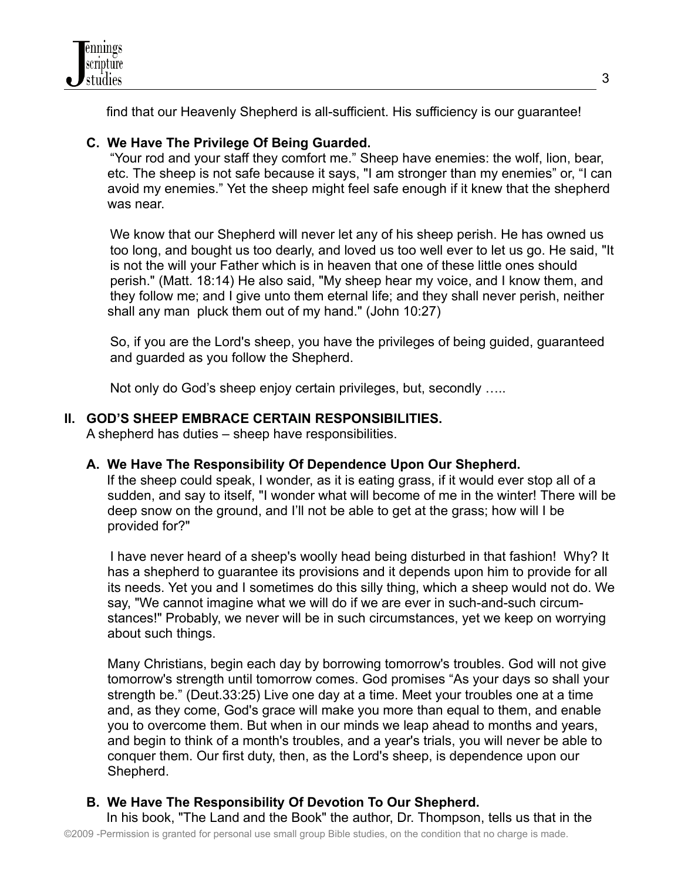find that our Heavenly Shepherd is all-sufficient. His sufficiency is our guarantee!

# **C. We Have The Privilege Of Being Guarded.**

"Your rod and your staff they comfort me." Sheep have enemies: the wolf, lion, bear, etc. The sheep is not safe because it says, "I am stronger than my enemies" or, "I can avoid my enemies." Yet the sheep might feel safe enough if it knew that the shepherd was near.

We know that our Shepherd will never let any of his sheep perish. He has owned us too long, and bought us too dearly, and loved us too well ever to let us go. He said, "It is not the will your Father which is in heaven that one of these little ones should perish." (Matt. 18:14) He also said, "My sheep hear my voice, and I know them, and they follow me; and I give unto them eternal life; and they shall never perish, neither shall any man pluck them out of my hand." (John 10:27)

So, if you are the Lord's sheep, you have the privileges of being guided, guaranteed and guarded as you follow the Shepherd.

Not only do God's sheep enjoy certain privileges, but, secondly …..

# **II. GOD'S SHEEP EMBRACE CERTAIN RESPONSIBILITIES.**

A shepherd has duties – sheep have responsibilities.

# **A. We Have The Responsibility Of Dependence Upon Our Shepherd.**

If the sheep could speak, I wonder, as it is eating grass, if it would ever stop all of a sudden, and say to itself, "I wonder what will become of me in the winter! There will be deep snow on the ground, and I'll not be able to get at the grass; how will I be provided for?"

I have never heard of a sheep's woolly head being disturbed in that fashion! Why? It has a shepherd to guarantee its provisions and it depends upon him to provide for all its needs. Yet you and I sometimes do this silly thing, which a sheep would not do. We say, "We cannot imagine what we will do if we are ever in such-and-such circumstances!" Probably, we never will be in such circumstances, yet we keep on worrying about such things.

Many Christians, begin each day by borrowing tomorrow's troubles. God will not give tomorrow's strength until tomorrow comes. God promises "As your days so shall your strength be." (Deut.33:25) Live one day at a time. Meet your troubles one at a time and, as they come, God's grace will make you more than equal to them, and enable you to overcome them. But when in our minds we leap ahead to months and years, and begin to think of a month's troubles, and a year's trials, you will never be able to conquer them. Our first duty, then, as the Lord's sheep, is dependence upon our Shepherd.

# **B. We Have The Responsibility Of Devotion To Our Shepherd.**

In his book, "The Land and the Book" the author, Dr. Thompson, tells us that in the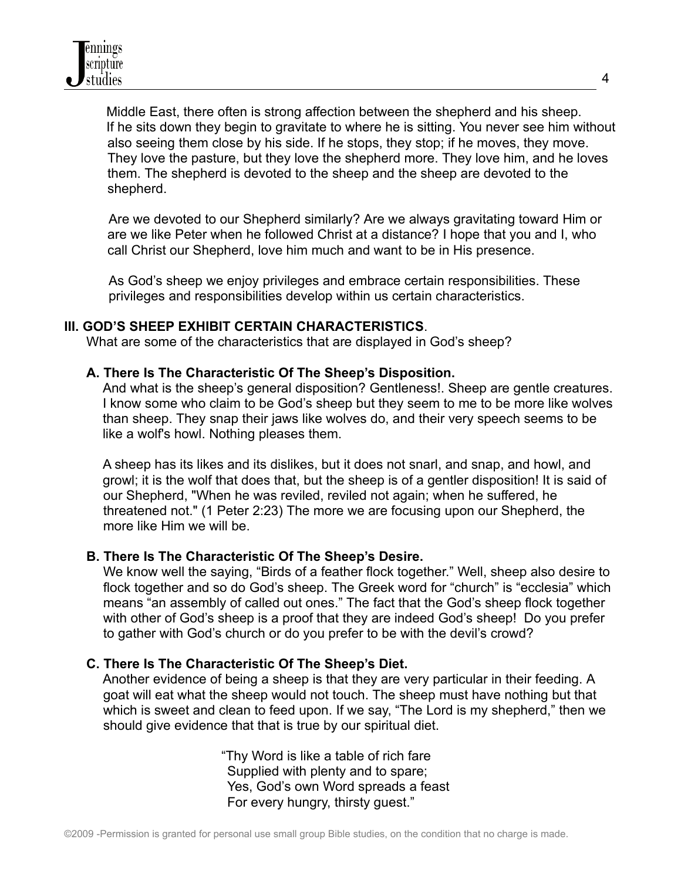Middle East, there often is strong affection between the shepherd and his sheep. If he sits down they begin to gravitate to where he is sitting. You never see him without also seeing them close by his side. If he stops, they stop; if he moves, they move. They love the pasture, but they love the shepherd more. They love him, and he loves them. The shepherd is devoted to the sheep and the sheep are devoted to the shepherd.

Are we devoted to our Shepherd similarly? Are we always gravitating toward Him or are we like Peter when he followed Christ at a distance? I hope that you and I, who call Christ our Shepherd, love him much and want to be in His presence.

As God's sheep we enjoy privileges and embrace certain responsibilities. These privileges and responsibilities develop within us certain characteristics.

## **III. GOD'S SHEEP EXHIBIT CERTAIN CHARACTERISTICS**.

What are some of the characteristics that are displayed in God's sheep?

## **A. There Is The Characteristic Of The Sheep's Disposition.**

And what is the sheep's general disposition? Gentleness!. Sheep are gentle creatures. I know some who claim to be God's sheep but they seem to me to be more like wolves than sheep. They snap their jaws like wolves do, and their very speech seems to be like a wolf's howl. Nothing pleases them.

A sheep has its likes and its dislikes, but it does not snarl, and snap, and howl, and growl; it is the wolf that does that, but the sheep is of a gentler disposition! It is said of our Shepherd, "When he was reviled, reviled not again; when he suffered, he threatened not." (1 Peter 2:23) The more we are focusing upon our Shepherd, the more like Him we will be.

## **B. There Is The Characteristic Of The Sheep's Desire.**

We know well the saying, "Birds of a feather flock together." Well, sheep also desire to flock together and so do God's sheep. The Greek word for "church" is "ecclesia" which means "an assembly of called out ones." The fact that the God's sheep flock together with other of God's sheep is a proof that they are indeed God's sheep! Do you prefer to gather with God's church or do you prefer to be with the devil's crowd?

## **C. There Is The Characteristic Of The Sheep's Diet.**

Another evidence of being a sheep is that they are very particular in their feeding. A goat will eat what the sheep would not touch. The sheep must have nothing but that which is sweet and clean to feed upon. If we say, "The Lord is my shepherd," then we should give evidence that that is true by our spiritual diet.

> "Thy Word is like a table of rich fare Supplied with plenty and to spare; Yes, God's own Word spreads a feast For every hungry, thirsty guest."